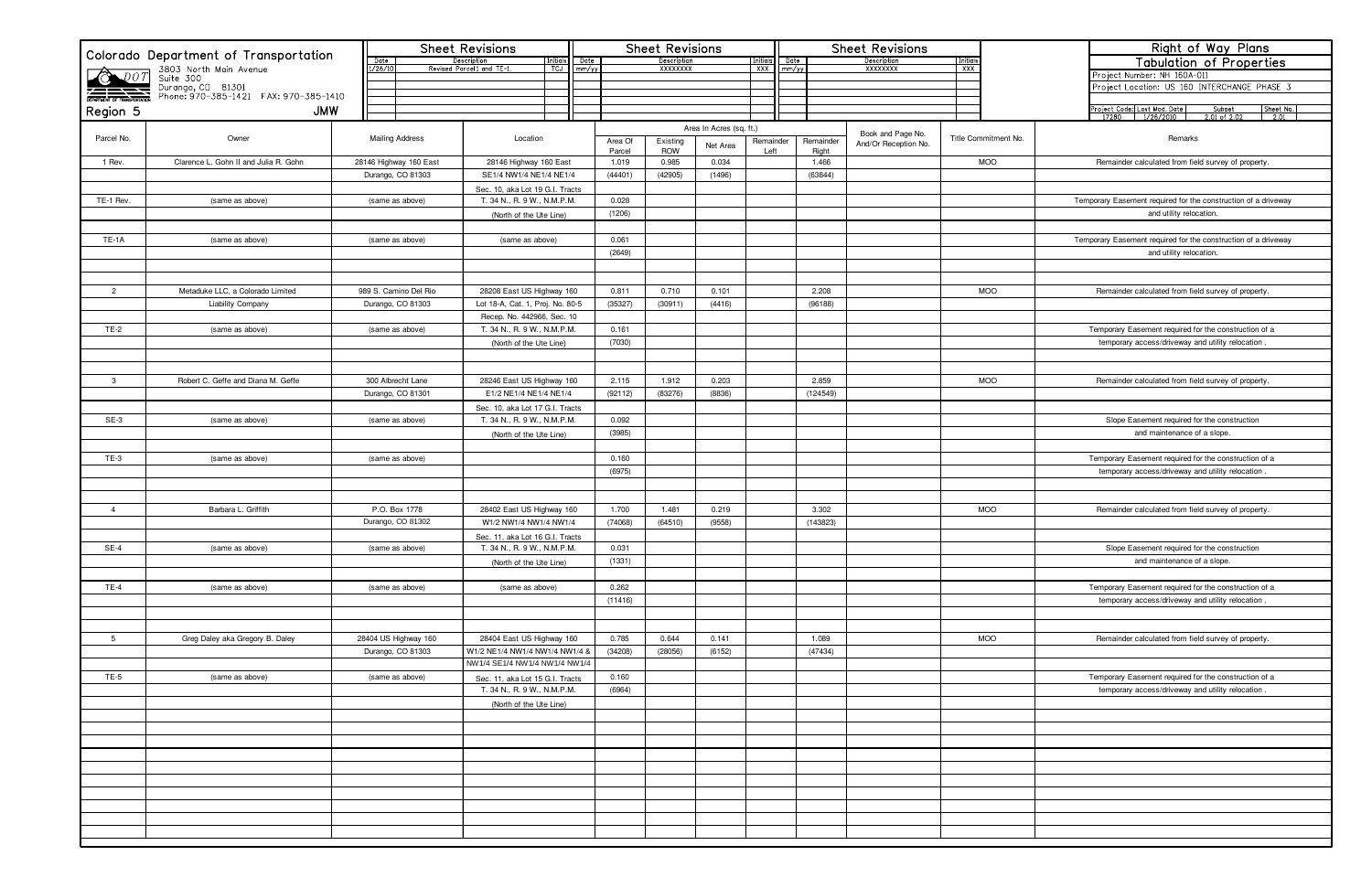| Colorado Department of Transportation |                                                                                                                                       |  |                        |                        | <b>Sheet Revisions</b>                                        |                       |               |                  |                                | <b>Sheet Revisions</b>  |                          |               | <b>Sheet Revisions</b> |                                |                      |                        |                      | Right of Way Plans |                                                                                               |  |  |
|---------------------------------------|---------------------------------------------------------------------------------------------------------------------------------------|--|------------------------|------------------------|---------------------------------------------------------------|-----------------------|---------------|------------------|--------------------------------|-------------------------|--------------------------|---------------|------------------------|--------------------------------|----------------------|------------------------|----------------------|--------------------|-----------------------------------------------------------------------------------------------|--|--|
|                                       |                                                                                                                                       |  | Date<br>1/26/10        |                        | Description<br>Revised Parcel1 and TE-1.                      | nitial)<br><b>TCJ</b> | Date<br>mm/yy |                  | Description<br><b>XXXXXXXX</b> |                         | <u>Initials</u><br>XXX I | Date<br>mm/yy |                        | Description<br><b>XXXXXXXX</b> |                      | <u>Initials</u><br>XXX |                      |                    | <b>Tabulation of Properties</b>                                                               |  |  |
|                                       | 3803 North Main Avenue<br>DOT Suite 300<br>Durango, CD 81301<br>DEPARTMENT OF TRANSPORTATION<br>Phone: 970-385-1421 FAX: 970-385-1410 |  |                        |                        |                                                               |                       |               |                  |                                |                         |                          |               |                        |                                |                      |                        |                      |                    | Project Number: NH 160A-011                                                                   |  |  |
|                                       |                                                                                                                                       |  |                        |                        |                                                               |                       |               |                  |                                |                         |                          |               |                        |                                |                      |                        |                      |                    | Project Location: US 160 INTERCHANGE PHASE 3                                                  |  |  |
|                                       |                                                                                                                                       |  |                        |                        |                                                               |                       |               |                  |                                |                         |                          |               |                        |                                |                      |                        |                      |                    |                                                                                               |  |  |
| Region 5                              | <b>JMW</b>                                                                                                                            |  |                        |                        |                                                               |                       |               |                  |                                |                         |                          |               |                        |                                |                      |                        |                      |                    | Project Code: Last Mod. Date<br>Subset<br>Sheet No<br>$\frac{2.01}{2.01}$<br>$2.01$ of $2.02$ |  |  |
|                                       |                                                                                                                                       |  |                        |                        |                                                               |                       |               |                  |                                | Area In Acres (sq. ft.) |                          |               |                        |                                | Book and Page No.    |                        |                      |                    |                                                                                               |  |  |
| Parcel No.                            | Owner                                                                                                                                 |  | <b>Mailing Address</b> |                        | Location                                                      |                       |               | Area Of          | Existing<br><b>ROW</b>         | Net Area                |                          | Remainder     | Remainder              |                                | And/Or Reception No. |                        | Title Commitment No. |                    | Remarks                                                                                       |  |  |
| 1 Rev.                                | Clarence L. Gohn II and Julia R. Gohn                                                                                                 |  |                        | 28146 Highway 160 East | 28146 Highway 160 East                                        |                       |               | Parcel<br>1.019  | 0.985                          | 0.034                   |                          | Left          | Right<br>1.466         |                                |                      |                        | <b>MOO</b>           |                    | Remainder calculated from field survey of property                                            |  |  |
|                                       |                                                                                                                                       |  |                        | Durango, CO 81303      | SE1/4 NW1/4 NE1/4 NE1/4                                       |                       |               | (44401)          | (42905)                        | (1496)                  |                          |               | (63844)                |                                |                      |                        |                      |                    |                                                                                               |  |  |
|                                       |                                                                                                                                       |  |                        |                        | Sec. 10, aka Lot 19 G.I. Tracts                               |                       |               |                  |                                |                         |                          |               |                        |                                |                      |                        |                      |                    |                                                                                               |  |  |
| TE-1 Rev.                             | (same as above)                                                                                                                       |  |                        | (same as above)        | T. 34 N., R. 9 W., N.M.P.M.                                   |                       |               | 0.028            |                                |                         |                          |               |                        |                                |                      |                        |                      |                    | Temporary Easement required for the construction of a driveway                                |  |  |
|                                       |                                                                                                                                       |  |                        |                        | (North of the Ute Line)                                       |                       |               | (1206)           |                                |                         |                          |               |                        |                                |                      |                        |                      |                    | and utility relocation.                                                                       |  |  |
|                                       |                                                                                                                                       |  |                        |                        |                                                               |                       |               |                  |                                |                         |                          |               |                        |                                |                      |                        |                      |                    |                                                                                               |  |  |
| <b>TE-1A</b>                          | (same as above)                                                                                                                       |  |                        | (same as above)        | (same as above)                                               |                       |               | 0.061            |                                |                         |                          |               |                        |                                |                      |                        |                      |                    | Temporary Easement required for the construction of a driveway                                |  |  |
|                                       |                                                                                                                                       |  |                        |                        |                                                               |                       |               | (2649)           |                                |                         |                          |               |                        |                                |                      |                        |                      |                    | and utility relocation.                                                                       |  |  |
|                                       |                                                                                                                                       |  |                        |                        |                                                               |                       |               |                  |                                |                         |                          |               |                        |                                |                      |                        |                      |                    |                                                                                               |  |  |
|                                       | Metaduke LLC, a Colorado Limited                                                                                                      |  |                        | 989 S. Camino Del Rio  |                                                               |                       |               |                  |                                |                         |                          |               |                        |                                |                      |                        | <b>MOO</b>           |                    |                                                                                               |  |  |
| $\overline{2}$                        | <b>Liability Company</b>                                                                                                              |  |                        | Durango, CO 81303      | 28208 East US Highway 160<br>Lot 18-A, Cat. 1, Proj. No. 80-5 |                       |               | 0.811<br>(35327) | 0.710<br>(30911)               | 0.101<br>(4416)         |                          |               | 2.208<br>(96188)       |                                |                      |                        |                      |                    | Remainder calculated from field survey of property                                            |  |  |
|                                       |                                                                                                                                       |  |                        |                        | Recep. No. 442966, Sec. 10                                    |                       |               |                  |                                |                         |                          |               |                        |                                |                      |                        |                      |                    |                                                                                               |  |  |
| $TE-2$                                | (same as above)                                                                                                                       |  |                        | (same as above)        | T. 34 N., R. 9 W., N.M.P.M.                                   |                       |               | 0.161            |                                |                         |                          |               |                        |                                |                      |                        |                      |                    | Temporary Easement required for the construction of a                                         |  |  |
|                                       |                                                                                                                                       |  |                        |                        | (North of the Ute Line)                                       |                       |               | (7030)           |                                |                         |                          |               |                        |                                |                      |                        |                      |                    | temporary access/driveway and utility relocation                                              |  |  |
|                                       |                                                                                                                                       |  |                        |                        |                                                               |                       |               |                  |                                |                         |                          |               |                        |                                |                      |                        |                      |                    |                                                                                               |  |  |
|                                       |                                                                                                                                       |  |                        |                        |                                                               |                       |               |                  |                                |                         |                          |               |                        |                                |                      |                        |                      |                    |                                                                                               |  |  |
| $\mathbf{3}$                          | Robert C. Geffe and Diana M. Geffe                                                                                                    |  |                        | 300 Albrecht Lane      | 28246 East US Highway 160                                     |                       |               | 2.115            | 1.912                          | 0.203                   |                          |               | 2.859                  |                                |                      |                        | <b>MOO</b>           |                    | Remainder calculated from field survey of property                                            |  |  |
|                                       |                                                                                                                                       |  |                        | Durango, CO 81301      | E1/2 NE1/4 NE1/4 NE1/4                                        |                       |               | (92112)          | (83276)                        | (8836)                  |                          |               | (124549)               |                                |                      |                        |                      |                    |                                                                                               |  |  |
|                                       |                                                                                                                                       |  |                        |                        | Sec. 10, aka Lot 17 G.I. Tracts                               |                       |               |                  |                                |                         |                          |               |                        |                                |                      |                        |                      |                    |                                                                                               |  |  |
| $SE-3$                                | (same as above)                                                                                                                       |  |                        | (same as above)        | T. 34 N., R. 9 W., N.M.P.M.                                   |                       |               | 0.092            |                                |                         |                          |               |                        |                                |                      |                        |                      |                    | Slope Easement required for the construction                                                  |  |  |
|                                       |                                                                                                                                       |  |                        |                        | (North of the Ute Line)                                       |                       |               | (3985)           |                                |                         |                          |               |                        |                                |                      |                        |                      |                    | and maintenance of a slope.                                                                   |  |  |
| $TE-3$                                |                                                                                                                                       |  |                        |                        |                                                               |                       |               | 0.160            |                                |                         |                          |               |                        |                                |                      |                        |                      |                    | Temporary Easement required for the construction of a                                         |  |  |
|                                       | (same as above)                                                                                                                       |  |                        | (same as above)        |                                                               |                       |               | (6975)           |                                |                         |                          |               |                        |                                |                      |                        |                      |                    | temporary access/driveway and utility relocation                                              |  |  |
|                                       |                                                                                                                                       |  |                        |                        |                                                               |                       |               |                  |                                |                         |                          |               |                        |                                |                      |                        |                      |                    |                                                                                               |  |  |
|                                       |                                                                                                                                       |  |                        |                        |                                                               |                       |               |                  |                                |                         |                          |               |                        |                                |                      |                        |                      |                    |                                                                                               |  |  |
| $\overline{4}$                        | Barbara L. Griffith                                                                                                                   |  | P.O. Box 1778          |                        | 28402 East US Highway 160                                     |                       |               | 1.700            | 1.481                          | 0.219                   |                          |               | 3.302                  |                                |                      |                        | <b>MOO</b>           |                    | Remainder calculated from field survey of property                                            |  |  |
|                                       |                                                                                                                                       |  |                        | Durango, CO 81302      | W1/2 NW1/4 NW1/4 NW1/4                                        |                       |               | (74068)          | (64510)                        | (9558)                  |                          |               | (143823)               |                                |                      |                        |                      |                    |                                                                                               |  |  |
|                                       |                                                                                                                                       |  |                        |                        | Sec. 11, aka Lot 16 G.I. Tracts                               |                       |               |                  |                                |                         |                          |               |                        |                                |                      |                        |                      |                    |                                                                                               |  |  |
| $SE-4$                                | (same as above)                                                                                                                       |  |                        | (same as above)        | T. 34 N., R. 9 W., N.M.P.M.                                   |                       |               | 0.031            |                                |                         |                          |               |                        |                                |                      |                        |                      |                    | Slope Easement required for the construction                                                  |  |  |
|                                       |                                                                                                                                       |  |                        |                        | (North of the Ute Line)                                       |                       |               | (1331)           |                                |                         |                          |               |                        |                                |                      |                        |                      |                    | and maintenance of a slope.                                                                   |  |  |
|                                       |                                                                                                                                       |  |                        |                        |                                                               |                       |               |                  |                                |                         |                          |               |                        |                                |                      |                        |                      |                    |                                                                                               |  |  |
| <b>TE-4</b>                           | (same as above)                                                                                                                       |  |                        | (same as above)        | (same as above)                                               |                       |               | 0.262            |                                |                         |                          |               |                        |                                |                      |                        |                      |                    | Temporary Easement required for the construction of a                                         |  |  |
|                                       |                                                                                                                                       |  |                        |                        |                                                               |                       |               | (11416)          |                                |                         |                          |               |                        |                                |                      |                        |                      |                    | temporary access/driveway and utility relocation                                              |  |  |
|                                       |                                                                                                                                       |  |                        |                        |                                                               |                       |               |                  |                                |                         |                          |               |                        |                                |                      |                        |                      |                    |                                                                                               |  |  |
| $5\overline{)}$                       | Greg Daley aka Gregory B. Daley                                                                                                       |  |                        | 28404 US Highway 160   | 28404 East US Highway 160                                     |                       |               | 0.785            | 0.644                          | 0.141                   |                          |               | 1.089                  |                                |                      |                        | <b>MOO</b>           |                    | Remainder calculated from field survey of property.                                           |  |  |
|                                       |                                                                                                                                       |  |                        | Durango, CO 81303      | W1/2 NE1/4 NW1/4 NW1/4 NW1/4 &                                |                       |               | (34208)          | (28056)                        | (6152)                  |                          |               | (47434)                |                                |                      |                        |                      |                    |                                                                                               |  |  |
|                                       |                                                                                                                                       |  |                        |                        | NW1/4 SE1/4 NW1/4 NW1/4 NW1/4                                 |                       |               |                  |                                |                         |                          |               |                        |                                |                      |                        |                      |                    |                                                                                               |  |  |
| $TE-5$                                | (same as above)                                                                                                                       |  |                        | (same as above)        | Sec. 11, aka Lot 15 G.I. Tracts                               |                       |               | 0.160            |                                |                         |                          |               |                        |                                |                      |                        |                      |                    | Temporary Easement required for the construction of a                                         |  |  |
|                                       |                                                                                                                                       |  |                        |                        | T. 34 N., R. 9 W., N.M.P.M.                                   |                       |               | (6964)           |                                |                         |                          |               |                        |                                |                      |                        |                      |                    | temporary access/driveway and utility relocation                                              |  |  |
|                                       |                                                                                                                                       |  |                        |                        | (North of the Ute Line)                                       |                       |               |                  |                                |                         |                          |               |                        |                                |                      |                        |                      |                    |                                                                                               |  |  |
|                                       |                                                                                                                                       |  |                        |                        |                                                               |                       |               |                  |                                |                         |                          |               |                        |                                |                      |                        |                      |                    |                                                                                               |  |  |
|                                       |                                                                                                                                       |  |                        |                        |                                                               |                       |               |                  |                                |                         |                          |               |                        |                                |                      |                        |                      |                    |                                                                                               |  |  |
|                                       |                                                                                                                                       |  |                        |                        |                                                               |                       |               |                  |                                |                         |                          |               |                        |                                |                      |                        |                      |                    |                                                                                               |  |  |
|                                       |                                                                                                                                       |  |                        |                        |                                                               |                       |               |                  |                                |                         |                          |               |                        |                                |                      |                        |                      |                    |                                                                                               |  |  |
|                                       |                                                                                                                                       |  |                        |                        |                                                               |                       |               |                  |                                |                         |                          |               |                        |                                |                      |                        |                      |                    |                                                                                               |  |  |
|                                       |                                                                                                                                       |  |                        |                        |                                                               |                       |               |                  |                                |                         |                          |               |                        |                                |                      |                        |                      |                    |                                                                                               |  |  |
|                                       |                                                                                                                                       |  |                        |                        |                                                               |                       |               |                  |                                |                         |                          |               |                        |                                |                      |                        |                      |                    |                                                                                               |  |  |
|                                       |                                                                                                                                       |  |                        |                        |                                                               |                       |               |                  |                                |                         |                          |               |                        |                                |                      |                        |                      |                    |                                                                                               |  |  |
|                                       |                                                                                                                                       |  |                        |                        |                                                               |                       |               |                  |                                |                         |                          |               |                        |                                |                      |                        |                      |                    |                                                                                               |  |  |
|                                       |                                                                                                                                       |  |                        |                        |                                                               |                       |               |                  |                                |                         |                          |               |                        |                                |                      |                        |                      |                    |                                                                                               |  |  |

|       | Right of Way Plans                                                                                |
|-------|---------------------------------------------------------------------------------------------------|
|       | <b>Tabulation of Properties</b>                                                                   |
|       | Project Number: NH 160A-011                                                                       |
|       | Project Location: US 160 INTERCHANGE PHASE 3                                                      |
|       |                                                                                                   |
|       | Project Code: Last Mod. Date<br>Subset<br>Sheet No.<br>2.01 of 2.02<br>17280<br>1/26/2010<br>2.01 |
|       |                                                                                                   |
| t No. | Remarks                                                                                           |
|       | Remainder calculated from field survey of property.                                               |
|       |                                                                                                   |
|       |                                                                                                   |
|       | Temporary Easement required for the construction of a driveway                                    |
|       | and utility relocation.                                                                           |
|       |                                                                                                   |
|       | Temporary Easement required for the construction of a driveway                                    |
|       | and utility relocation.                                                                           |
|       |                                                                                                   |
|       | Remainder calculated from field survey of property.                                               |
|       |                                                                                                   |
|       |                                                                                                   |
|       | Temporary Easement required for the construction of a                                             |
|       | temporary access/driveway and utility relocation.                                                 |
|       |                                                                                                   |
|       |                                                                                                   |
|       | Remainder calculated from field survey of property.                                               |
|       |                                                                                                   |
|       |                                                                                                   |
|       | Slope Easement required for the construction                                                      |
|       | and maintenance of a slope.                                                                       |
|       | Temporary Easement required for the construction of a                                             |
|       | temporary access/driveway and utility relocation.                                                 |
|       |                                                                                                   |
|       |                                                                                                   |
|       | Remainder calculated from field survey of property.                                               |
|       |                                                                                                   |
|       |                                                                                                   |
|       | Slope Easement required for the construction                                                      |
|       | and maintenance of a slope.                                                                       |
|       | Temporary Easement required for the construction of a                                             |
|       | temporary access/driveway and utility relocation.                                                 |
|       |                                                                                                   |
|       |                                                                                                   |
|       | Remainder calculated from field survey of property.                                               |
|       |                                                                                                   |
|       |                                                                                                   |
|       | Temporary Easement required for the construction of a                                             |
|       | temporary access/driveway and utility relocation.                                                 |
|       |                                                                                                   |
|       |                                                                                                   |
|       |                                                                                                   |
|       |                                                                                                   |
|       |                                                                                                   |
|       |                                                                                                   |
|       |                                                                                                   |
|       |                                                                                                   |
|       |                                                                                                   |
|       |                                                                                                   |
|       |                                                                                                   |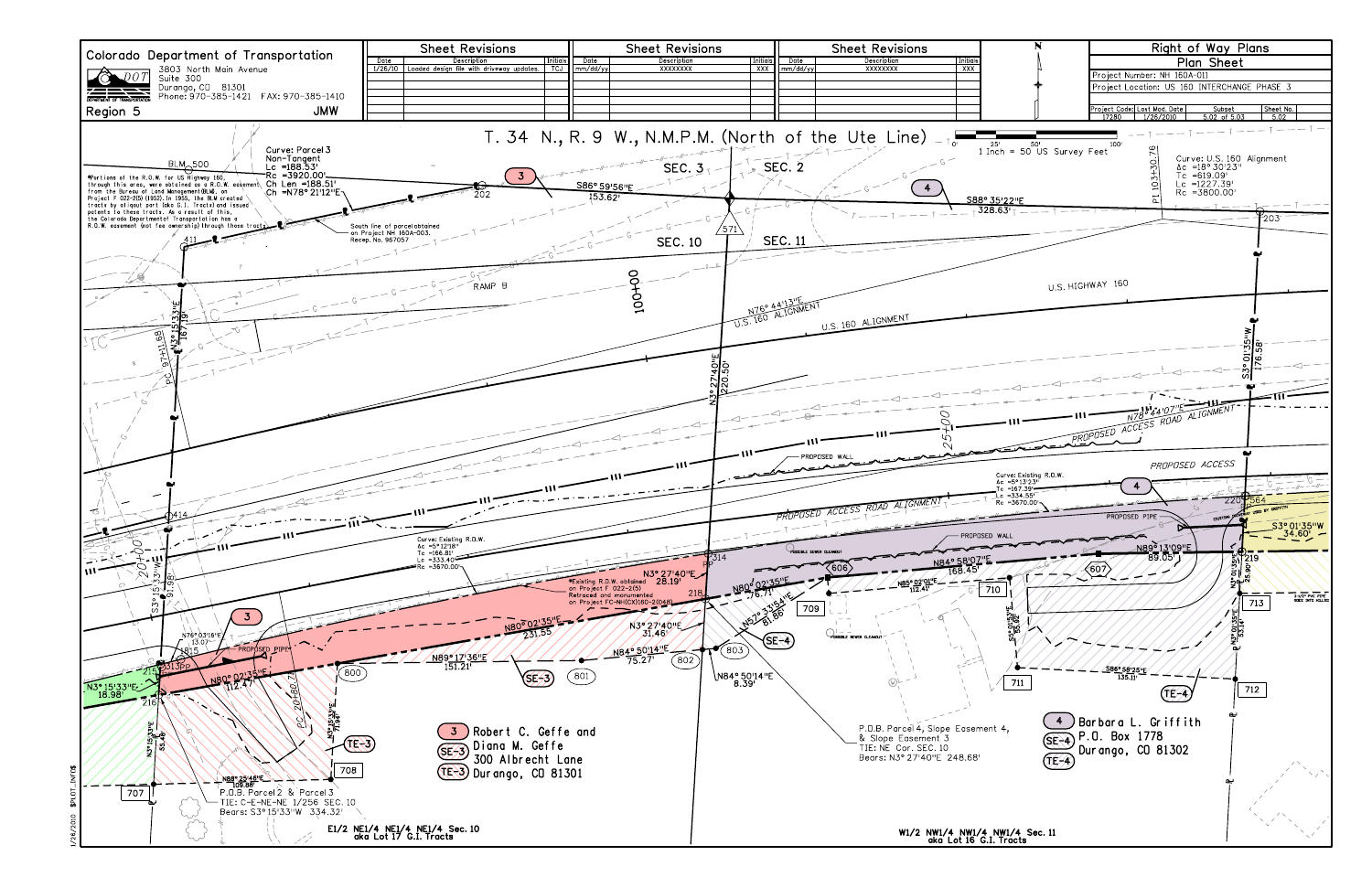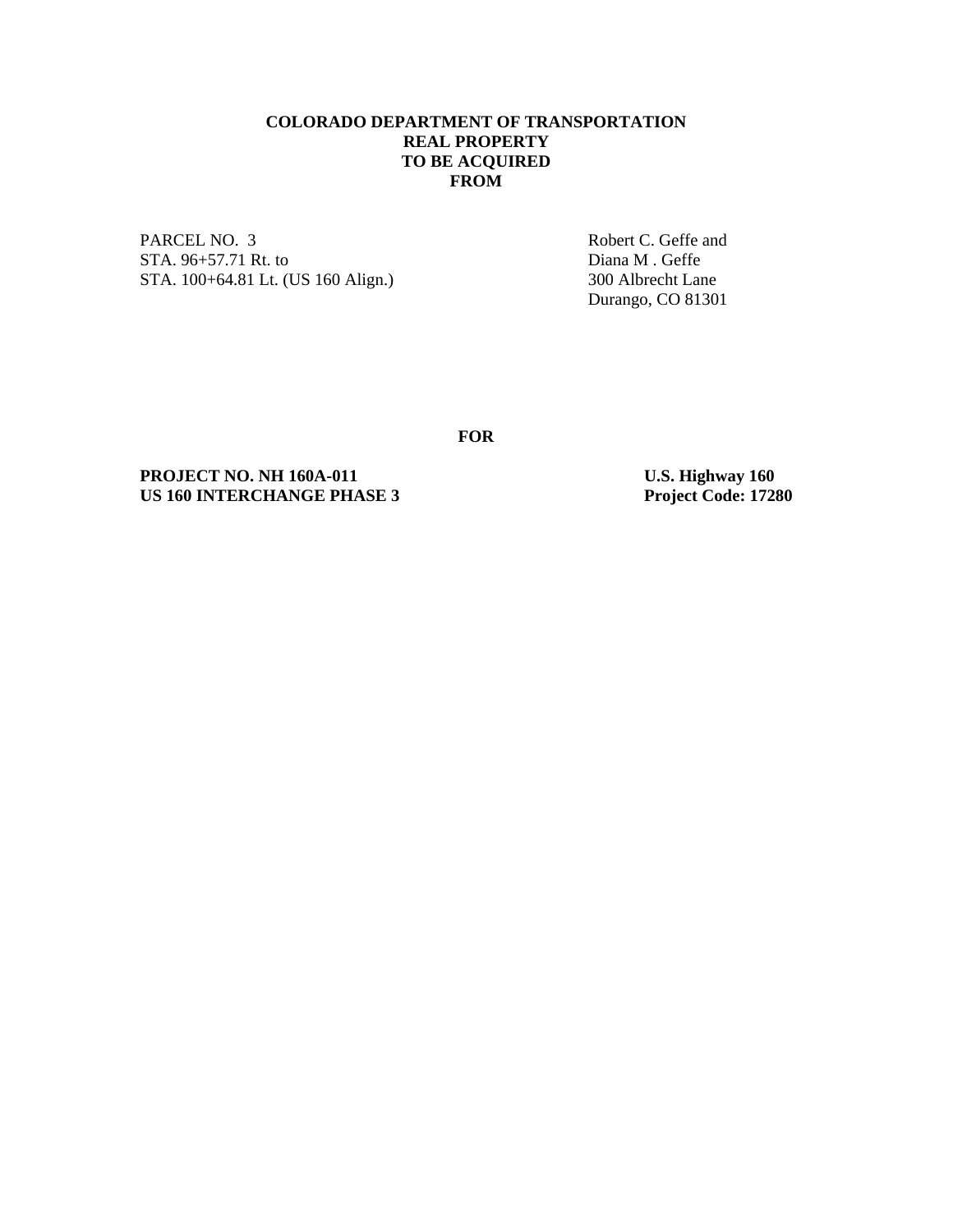## **COLORADO DEPARTMENT OF TRANSPORTATION REAL PROPERTY TO BE ACQUIRED FROM**

PARCEL NO. 3 Robert C. Geffe and STA. 96+57.71 Rt. to Diana M . Geffe<br>
STA. 100+64.81 Lt. (US 160 Align.) 300 Albrecht Lane STA. 100+64.81 Lt. (US 160 Align.)

Durango, CO 81301

**FOR** 

**PROJECT NO. NH 160A-011** U.S. Highway 160<br>
US 160 INTERCHANGE PHASE 3 Project Code: 17280 **US 160 INTERCHANGE PHASE 3**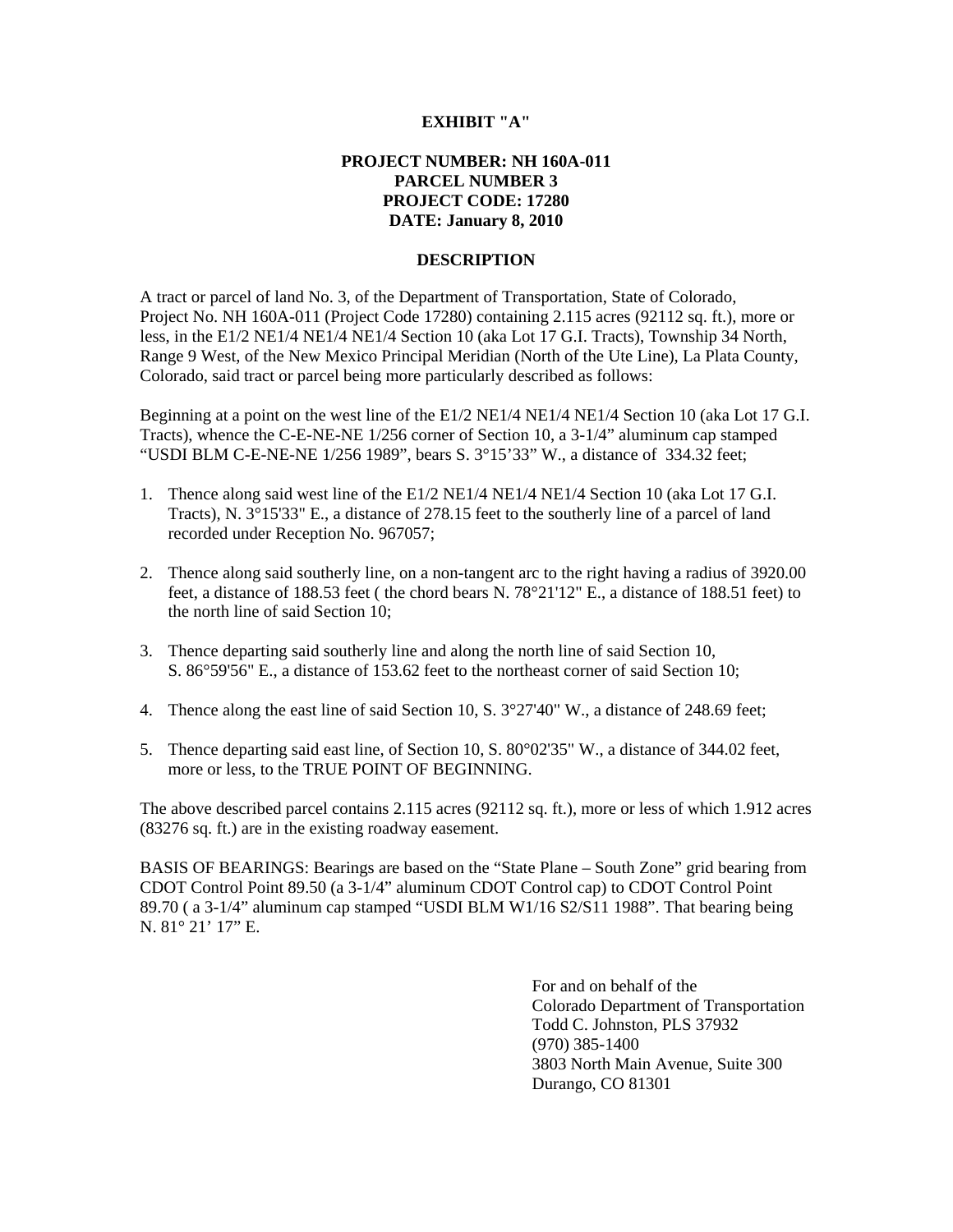#### **EXHIBIT "A"**

# **PROJECT NUMBER: NH 160A-011 PARCEL NUMBER 3 PROJECT CODE: 17280 DATE: January 8, 2010**

#### **DESCRIPTION**

A tract or parcel of land No. 3, of the Department of Transportation, State of Colorado, Project No. NH 160A-011 (Project Code 17280) containing 2.115 acres (92112 sq. ft.), more or less, in the E1/2 NE1/4 NE1/4 NE1/4 Section 10 (aka Lot 17 G.I. Tracts), Township 34 North, Range 9 West, of the New Mexico Principal Meridian (North of the Ute Line), La Plata County, Colorado, said tract or parcel being more particularly described as follows:

Beginning at a point on the west line of the E1/2 NE1/4 NE1/4 NE1/4 Section 10 (aka Lot 17 G.I. Tracts), whence the C-E-NE-NE 1/256 corner of Section 10, a 3-1/4" aluminum cap stamped "USDI BLM C-E-NE-NE 1/256 1989", bears S.  $3^{\circ}15'33''$  W., a distance of 334.32 feet;

- 1. Thence along said west line of the E1/2 NE1/4 NE1/4 NE1/4 Section 10 (aka Lot 17 G.I. Tracts), N. 3°15'33" E., a distance of 278.15 feet to the southerly line of a parcel of land recorded under Reception No. 967057;
- 2. Thence along said southerly line, on a non-tangent arc to the right having a radius of 3920.00 feet, a distance of 188.53 feet ( the chord bears N. 78°21'12" E., a distance of 188.51 feet) to the north line of said Section 10;
- 3. Thence departing said southerly line and along the north line of said Section 10, S. 86°59'56" E., a distance of 153.62 feet to the northeast corner of said Section 10;
- 4. Thence along the east line of said Section 10, S. 3°27'40" W., a distance of 248.69 feet;
- 5. Thence departing said east line, of Section 10, S. 80°02'35" W., a distance of 344.02 feet, more or less, to the TRUE POINT OF BEGINNING.

The above described parcel contains 2.115 acres (92112 sq. ft.), more or less of which 1.912 acres (83276 sq. ft.) are in the existing roadway easement.

BASIS OF BEARINGS: Bearings are based on the "State Plane – South Zone" grid bearing from CDOT Control Point 89.50 (a 3-1/4" aluminum CDOT Control cap) to CDOT Control Point 89.70 ( a 3-1/4" aluminum cap stamped "USDI BLM W1/16 S2/S11 1988". That bearing being N. 81° 21' 17" E.

> For and on behalf of the Colorado Department of Transportation Todd C. Johnston, PLS 37932 (970) 385-1400 3803 North Main Avenue, Suite 300 Durango, CO 81301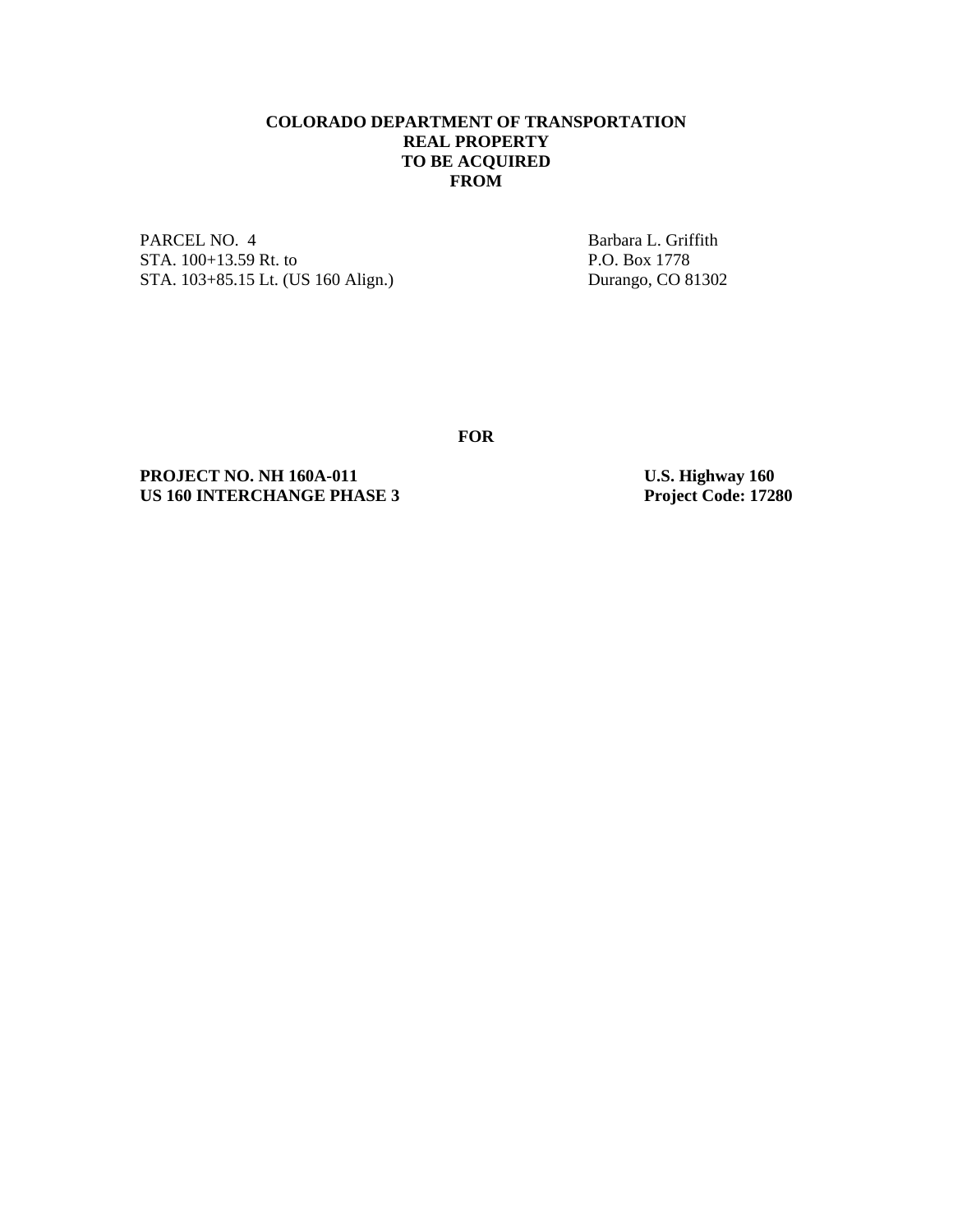## **COLORADO DEPARTMENT OF TRANSPORTATION REAL PROPERTY TO BE ACQUIRED FROM**

PARCEL NO. 4 Barbara L. Griffith STA. 100+13.59 Rt. to P.O. Box 1778<br>STA. 103+85.15 Lt. (US 160 Align.) Durango, CO 81302 STA. 103+85.15 Lt. (US 160 Align.)

**FOR** 

**PROJECT NO. NH 160A-011** U.S. Highway 160<br>
US 160 INTERCHANGE PHASE 3 Project Code: 17280 **US 160 INTERCHANGE PHASE 3**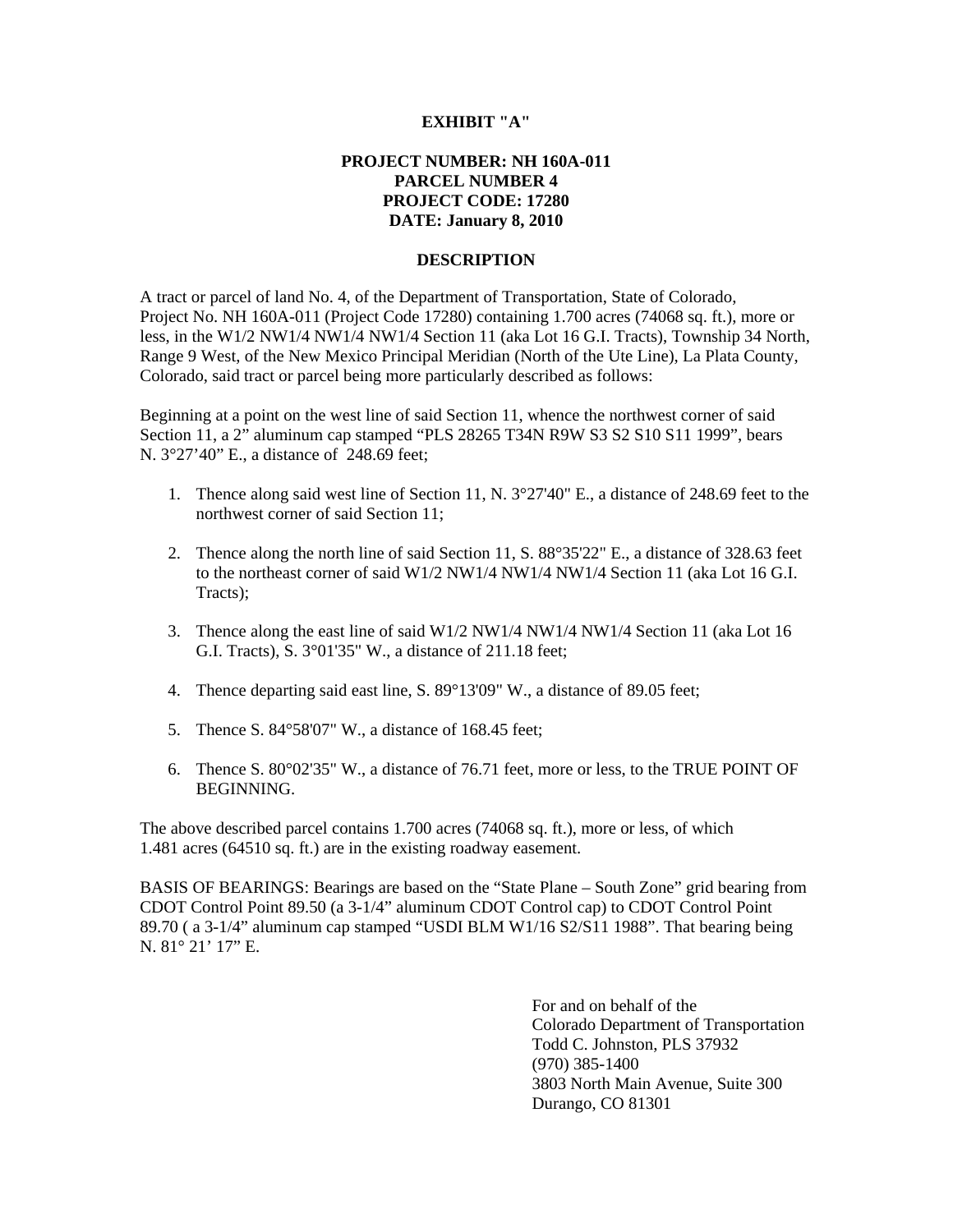#### **EXHIBIT "A"**

# **PROJECT NUMBER: NH 160A-011 PARCEL NUMBER 4 PROJECT CODE: 17280 DATE: January 8, 2010**

#### **DESCRIPTION**

A tract or parcel of land No. 4, of the Department of Transportation, State of Colorado, Project No. NH 160A-011 (Project Code 17280) containing 1.700 acres (74068 sq. ft.), more or less, in the W1/2 NW1/4 NW1/4 NW1/4 Section 11 (aka Lot 16 G.I. Tracts), Township 34 North, Range 9 West, of the New Mexico Principal Meridian (North of the Ute Line), La Plata County, Colorado, said tract or parcel being more particularly described as follows:

Beginning at a point on the west line of said Section 11, whence the northwest corner of said Section 11, a 2" aluminum cap stamped "PLS 28265 T34N R9W S3 S2 S10 S11 1999", bears N. 3°27'40" E., a distance of 248.69 feet;

- 1. Thence along said west line of Section 11, N. 3°27'40" E., a distance of 248.69 feet to the northwest corner of said Section 11;
- 2. Thence along the north line of said Section 11, S. 88°35'22" E., a distance of 328.63 feet to the northeast corner of said W1/2 NW1/4 NW1/4 NW1/4 Section 11 (aka Lot 16 G.I. Tracts);
- 3. Thence along the east line of said W1/2 NW1/4 NW1/4 NW1/4 Section 11 (aka Lot 16 G.I. Tracts), S. 3°01'35" W., a distance of 211.18 feet;
- 4. Thence departing said east line, S. 89°13'09" W., a distance of 89.05 feet;
- 5. Thence S. 84°58'07" W., a distance of 168.45 feet;
- 6. Thence S. 80°02'35" W., a distance of 76.71 feet, more or less, to the TRUE POINT OF BEGINNING.

The above described parcel contains 1.700 acres (74068 sq. ft.), more or less, of which 1.481 acres (64510 sq. ft.) are in the existing roadway easement.

BASIS OF BEARINGS: Bearings are based on the "State Plane – South Zone" grid bearing from CDOT Control Point 89.50 (a 3-1/4" aluminum CDOT Control cap) to CDOT Control Point 89.70 ( a 3-1/4" aluminum cap stamped "USDI BLM W1/16 S2/S11 1988". That bearing being N. 81° 21' 17" E.

> For and on behalf of the Colorado Department of Transportation Todd C. Johnston, PLS 37932 (970) 385-1400 3803 North Main Avenue, Suite 300 Durango, CO 81301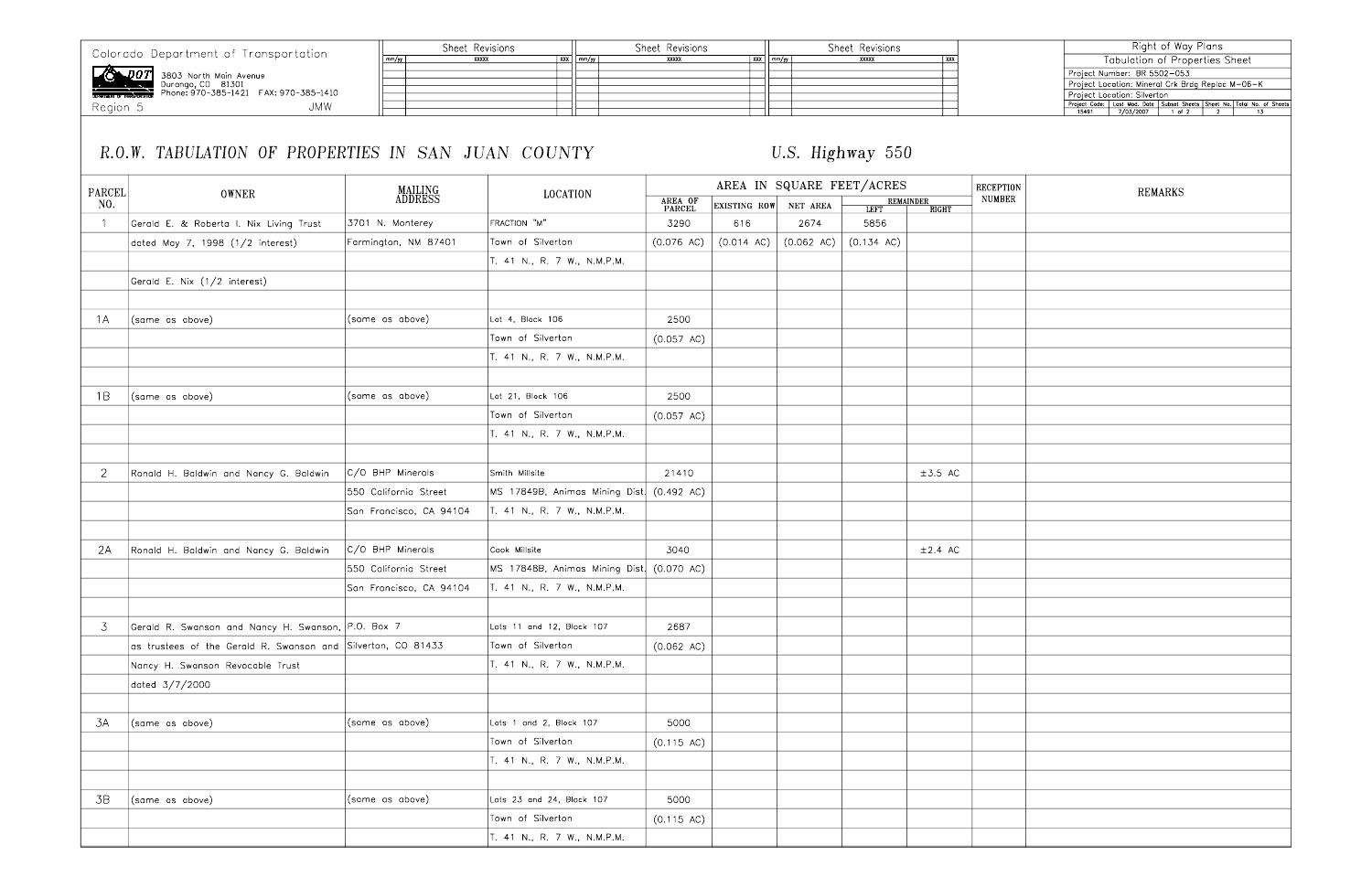Colorado Department of Transportation

**2007** 3803 North Main Avenue<br>Durango, CD 81301<br>BEARTING TRANSPORTATION Phone: 970-385-1421 FAX: 970-385-1410

Region 5

# **JMW**

Sheet Revisions Sheet Revisions Sheet Revisions  $\begin{array}{c|c}\n & xxx \\
 \hline\n & \text{mm/yy} \\
 \hline\n & \text{mm/yy}\n \end{array}$  $\begin{array}{|c|c|}\n\hline\nxxx & \text{mm/yy} \\
\hline\n\end{array}$ ╒

# R.O.W. TABULATION OF PROPERTIES IN SAN JUAN COUNTY

 $mm/yy$ 

# U.S. Highway 550

 $\sqrt{XX}$ 

| <b>PARCEL</b>  |                                                              |                         |                                           | AREA IN SQUARE FEET/ACRES |                      |                      |                      |                           |              |  |
|----------------|--------------------------------------------------------------|-------------------------|-------------------------------------------|---------------------------|----------------------|----------------------|----------------------|---------------------------|--------------|--|
| NO.            | <b>OWNER</b>                                                 | MAILING<br>ADDRESS      | <b>LOCATION</b>                           | AREA OF<br>PARCEL         | EXISTING ROW         | NET AREA             | <b>LEFT</b>          | REMAINDER<br><b>RIGHT</b> | <b>NUMBE</b> |  |
|                | Gerald E. & Roberta I. Nix Living Trust                      | 3701 N. Monterey        | FRACTION "M"                              | 3290                      | 616                  | 2674                 | 5856                 |                           |              |  |
|                | dated May 7, 1998 (1/2 interest)                             | Farmington, NM 87401    | Town of Silverton                         | $(0.076 \text{ AC})$      | $(0.014 \text{ AC})$ | $(0.062 \text{ AC})$ | $(0.134 \text{ AC})$ |                           |              |  |
|                |                                                              |                         | T. 41 N., R. 7 W., N.M.P.M.               |                           |                      |                      |                      |                           |              |  |
|                | Gerald E. Nix (1/2 interest)                                 |                         |                                           |                           |                      |                      |                      |                           |              |  |
|                |                                                              |                         |                                           |                           |                      |                      |                      |                           |              |  |
| 1A             | (same as above)                                              | (same as above)         | Lot 4, Block 106                          | 2500                      |                      |                      |                      |                           |              |  |
|                |                                                              |                         | Town of Silverton                         | $(0.057 \text{ AC})$      |                      |                      |                      |                           |              |  |
|                |                                                              |                         | T. 41 N., R. 7 W., N.M.P.M.               |                           |                      |                      |                      |                           |              |  |
| 1B             | (same as above)                                              | (same as above)         | Lot 21, Block 106                         | 2500                      |                      |                      |                      |                           |              |  |
|                |                                                              |                         | Town of Silverton                         | (0.057 AC)                |                      |                      |                      |                           |              |  |
|                |                                                              |                         | T. 41 N., R. 7 W., N.M.P.M.               |                           |                      |                      |                      |                           |              |  |
|                |                                                              |                         |                                           |                           |                      |                      |                      |                           |              |  |
| $\overline{2}$ | Ronald H. Baldwin and Nancy G. Baldwin                       | C/O BHP Minerals        | Smith Millsite                            | 21410                     |                      |                      |                      | $\pm 3.5$ AC              |              |  |
|                |                                                              | 550 California Street   | MS 17849B, Animas Mining Dist. (0.492 AC) |                           |                      |                      |                      |                           |              |  |
|                |                                                              | San Francisco, CA 94104 | T. 41 N., R. 7 W., N.M.P.M.               |                           |                      |                      |                      |                           |              |  |
| 2A             | Ronald H. Baldwin and Nancy G. Baldwin                       | C/O BHP Minerals        | Cook Millsite                             | 3040                      |                      |                      |                      | $\pm 2.4$ AC              |              |  |
|                |                                                              | 550 California Street   | MS 17848B, Animas Mining Dist. (0.070 AC) |                           |                      |                      |                      |                           |              |  |
|                |                                                              | San Francisco, CA 94104 | T. 41 N., R. 7 W., N.M.P.M.               |                           |                      |                      |                      |                           |              |  |
|                |                                                              |                         |                                           |                           |                      |                      |                      |                           |              |  |
| 3              | Gerald R. Swanson and Nancy H. Swanson, P.O. Box 7           |                         | Lots 11 and 12, Block 107                 | 2687                      |                      |                      |                      |                           |              |  |
|                | as trustees of the Gerald R. Swanson and Silverton, CO 81433 |                         | Town of Silverton                         | $(0.062 \text{ AC})$      |                      |                      |                      |                           |              |  |
|                | Nancy H. Swanson Revocable Trust                             |                         | T. 41 N., R. 7 W., N.M.P.M.               |                           |                      |                      |                      |                           |              |  |
|                | dated 3/7/2000                                               |                         |                                           |                           |                      |                      |                      |                           |              |  |
| 3A             | (same as above)                                              | (same as above)         | Lots 1 and 2, Block 107                   | 5000                      |                      |                      |                      |                           |              |  |
|                |                                                              |                         | Town of Silverton                         | (0.115 AC)                |                      |                      |                      |                           |              |  |
|                |                                                              |                         | T. 41 N., R. 7 W., N.M.P.M.               |                           |                      |                      |                      |                           |              |  |
|                |                                                              |                         |                                           |                           |                      |                      |                      |                           |              |  |
| 3B             | (same as above)                                              | (same as above)         | Lots 23 and 24, Block 107                 | 5000                      |                      |                      |                      |                           |              |  |
|                |                                                              |                         | Town of Silverton                         | (0.115 AC)                |                      |                      |                      |                           |              |  |
|                |                                                              |                         | T. 41 N., R. 7 W., N.M.P.M.               |                           |                      |                      |                      |                           |              |  |
|                |                                                              |                         |                                           |                           |                      |                      |                      |                           |              |  |

|            | Right of Way Plans                                                                                                                            |
|------------|-----------------------------------------------------------------------------------------------------------------------------------------------|
|            | <b>Tabulation of Properties Sheet</b>                                                                                                         |
|            | Project Number: BR 5502-053                                                                                                                   |
|            | Project Location: Mineral Crk Brdg Replac M-06-K                                                                                              |
|            | Project Location: Silverton<br>Project Code: Lost Mod. Date   Subset Sheets   Sheet No.   Total No. of Sheets<br>15491 17/03/2007 1 of 2 2 13 |
|            |                                                                                                                                               |
|            |                                                                                                                                               |
|            |                                                                                                                                               |
|            |                                                                                                                                               |
|            |                                                                                                                                               |
|            |                                                                                                                                               |
| PTION      | <b>REMARKS</b>                                                                                                                                |
| <b>BER</b> |                                                                                                                                               |
|            |                                                                                                                                               |
|            |                                                                                                                                               |
|            |                                                                                                                                               |
|            |                                                                                                                                               |
|            |                                                                                                                                               |
|            |                                                                                                                                               |
|            |                                                                                                                                               |
|            |                                                                                                                                               |
|            |                                                                                                                                               |
|            |                                                                                                                                               |
|            |                                                                                                                                               |
|            |                                                                                                                                               |
|            |                                                                                                                                               |
|            |                                                                                                                                               |
|            |                                                                                                                                               |
|            |                                                                                                                                               |
|            |                                                                                                                                               |
|            |                                                                                                                                               |
|            |                                                                                                                                               |
|            |                                                                                                                                               |
|            |                                                                                                                                               |
|            |                                                                                                                                               |
|            |                                                                                                                                               |
|            |                                                                                                                                               |
|            |                                                                                                                                               |
|            |                                                                                                                                               |
|            |                                                                                                                                               |
|            |                                                                                                                                               |
|            |                                                                                                                                               |
|            |                                                                                                                                               |
|            |                                                                                                                                               |
|            |                                                                                                                                               |
|            |                                                                                                                                               |
|            |                                                                                                                                               |
|            |                                                                                                                                               |
|            |                                                                                                                                               |
|            |                                                                                                                                               |
|            |                                                                                                                                               |
|            |                                                                                                                                               |
|            |                                                                                                                                               |
|            |                                                                                                                                               |
|            |                                                                                                                                               |
|            |                                                                                                                                               |
|            |                                                                                                                                               |
|            |                                                                                                                                               |
|            |                                                                                                                                               |
|            |                                                                                                                                               |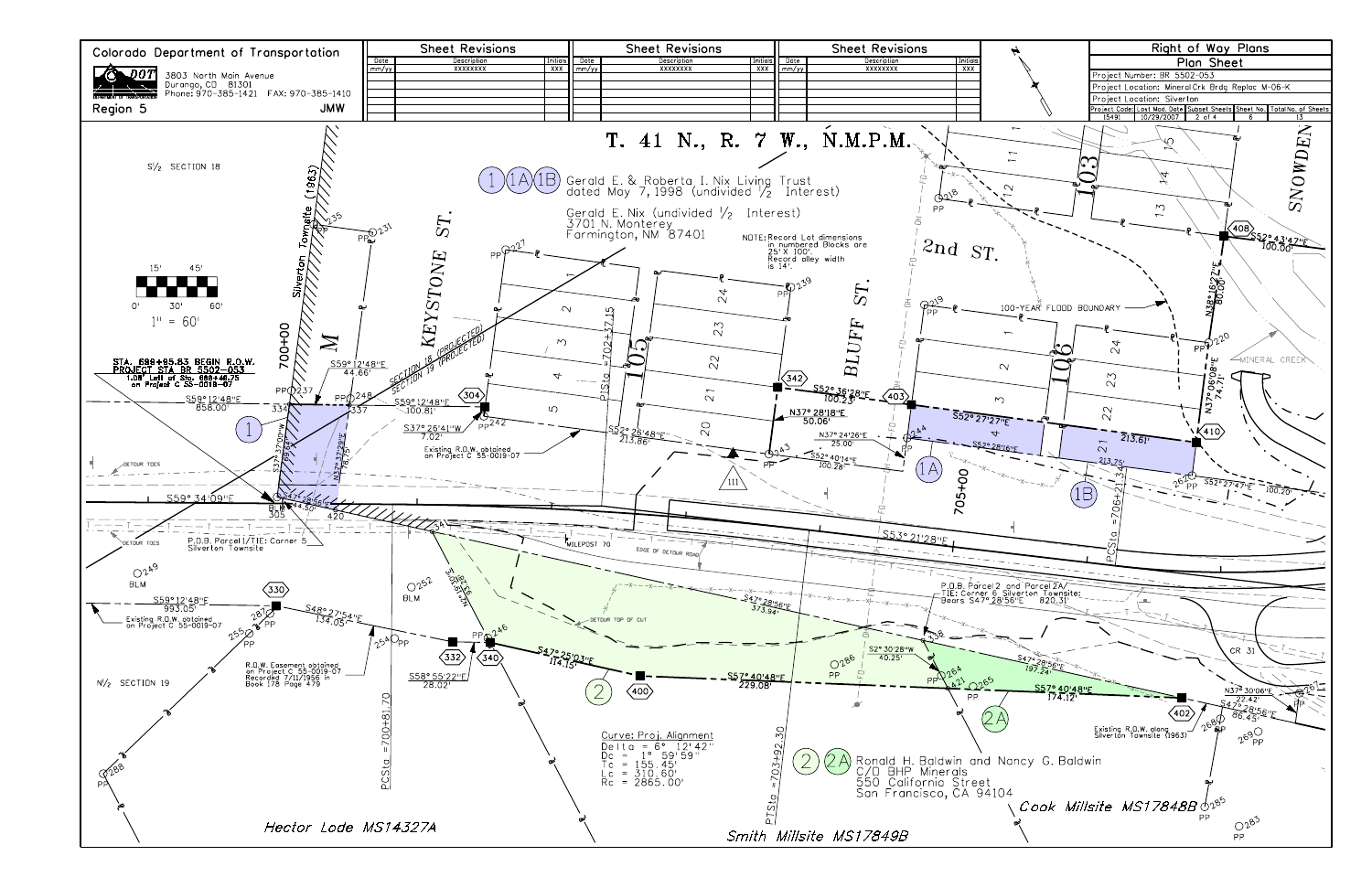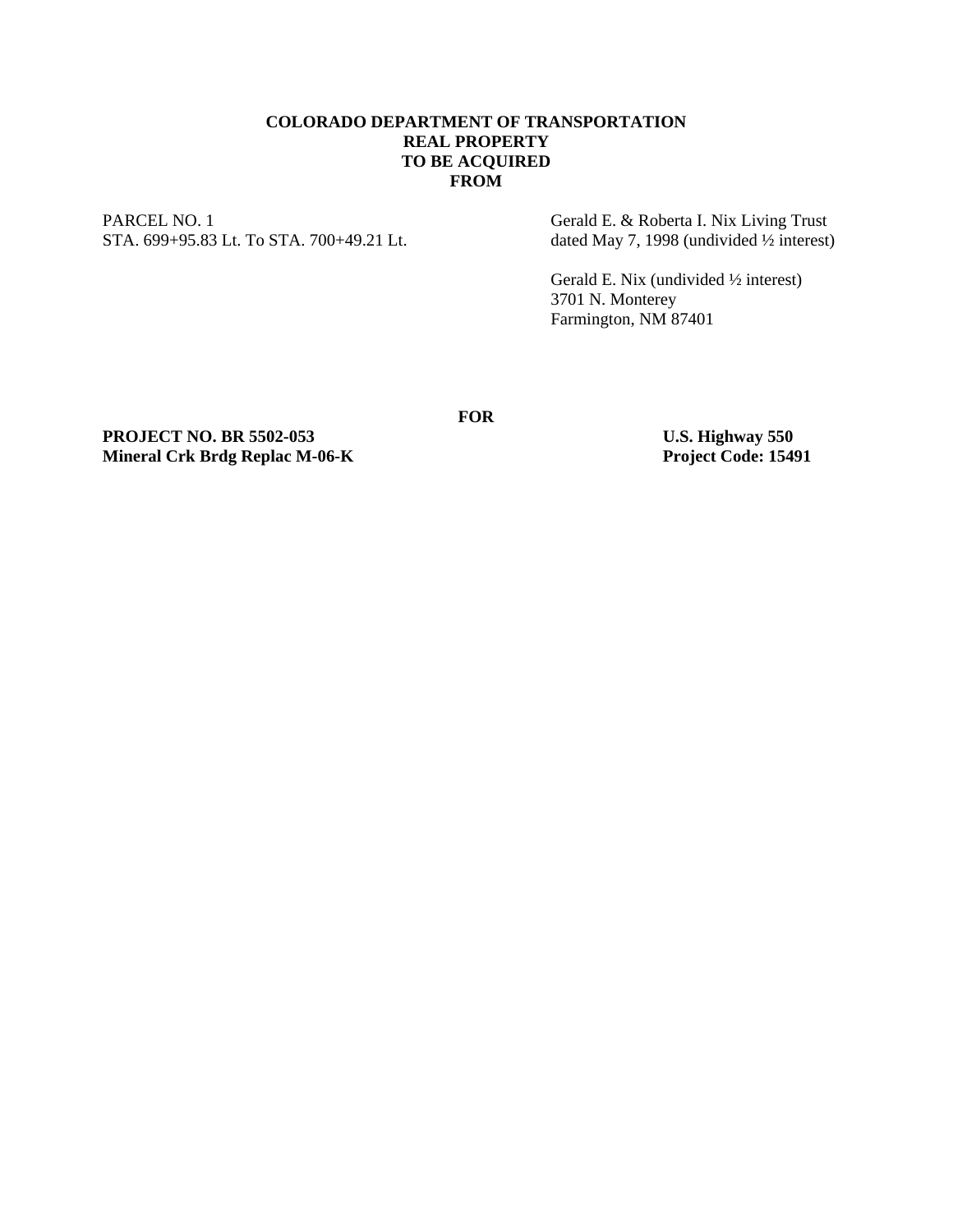## **COLORADO DEPARTMENT OF TRANSPORTATION REAL PROPERTY TO BE ACQUIRED FROM**

**FOR** 

PARCEL NO. 1 Gerald E. & Roberta I. Nix Living Trust STA. 699+95.83 Lt. To STA. 700+49.21 Lt. dated May 7, 1998 (undivided 1/2 interest)

 Gerald E. Nix (undivided ½ interest) 3701 N. Monterey Farmington, NM 87401

PROJECT NO. BR 5502-053<br>
Mineral Crk Brdg Replac M-06-K<br>
Project Code: 15491 **Mineral Crk Brdg Replac M-06-K**